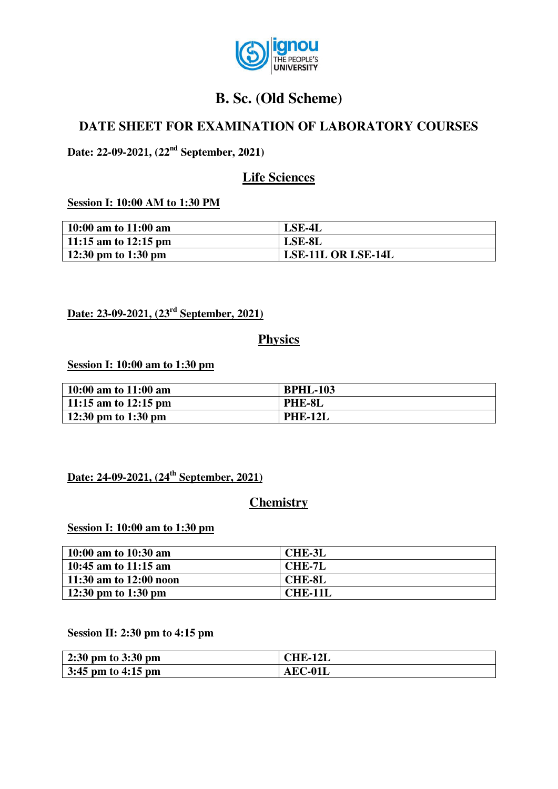

# **B. Sc. (Old Scheme)**

# **DATE SHEET FOR EXAMINATION OF LABORATORY COURSES**

**Date: 22-09-2021, (22nd September, 2021)** 

# **Life Sciences**

#### **Session I: 10:00 AM to 1:30 PM**

| 10:00 am to $11:00$ am | LSE-4L             |
|------------------------|--------------------|
| 11:15 am to 12:15 pm   | LSE-8L             |
| 12:30 pm to 1:30 pm    | LSE-11L OR LSE-14L |

**Date: 23-09-2021, (23rd September, 2021)**

### **Physics**

**Session I: 10:00 am to 1:30 pm**

| 10:00 am to $11:00$ am | <b>BPHL-103</b> |
|------------------------|-----------------|
| 11:15 am to $12:15$ pm | PHE-8L          |
| 12:30 pm to 1:30 pm    | <b>PHE-12L</b>  |

### **Date: 24-09-2021, (24th September, 2021)**

# **Chemistry**

#### **Session I: 10:00 am to 1:30 pm**

| 10:00 am to $10:30$ am | <b>CHE-3L</b>  |
|------------------------|----------------|
| 10:45 am to $11:15$ am | <b>CHE-7L</b>  |
| 11:30 am to 12:00 noon | <b>CHE-8L</b>  |
| 12:30 pm to 1:30 pm    | <b>CHE-11L</b> |

#### **Session II: 2:30 pm to 4:15 pm**

| $2:30 \text{ pm}$ to $3:30 \text{ pm}$    | <b>CHE-12L</b> |
|-------------------------------------------|----------------|
| $\frac{3:45 \text{ pm}}{4:15 \text{ pm}}$ | AEC-01L        |